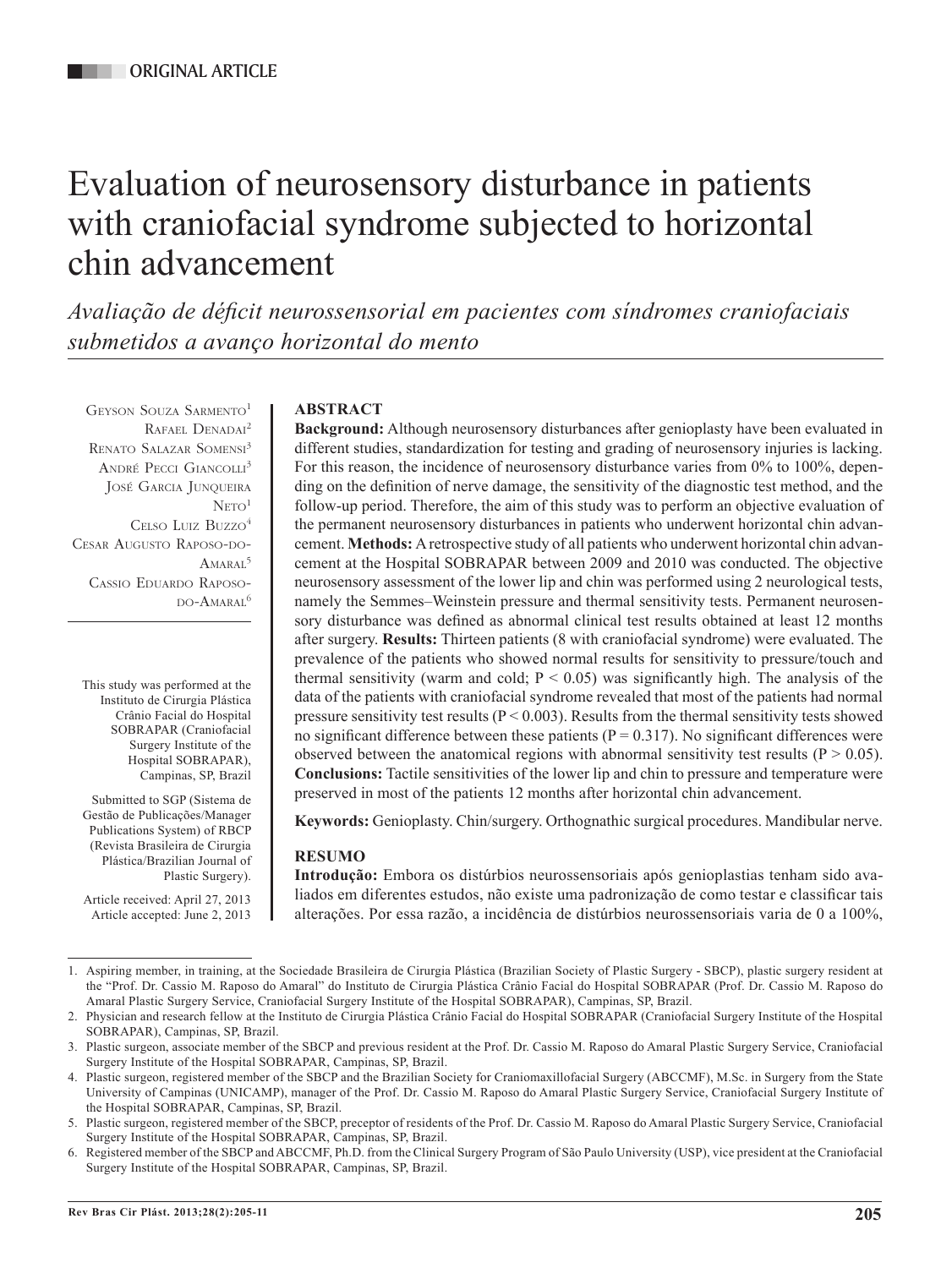# Evaluation of neurosensory disturbance in patients with craniofacial syndrome subjected to horizontal chin advancement

*Avaliação de déficit neurossensorial em pacientes com síndromes craniofaciais submetidos a avanço horizontal do mento*

Geyson Souza Sarmento1 RAFAEL DENADAI<sup>2</sup> RENATO SALAZAR SOMENSI<sup>3</sup> ANDRÉ PECCI GIANCOLLI<sup>3</sup> José Garcia Junqueira  $NETO<sup>1</sup>$ Celso Luiz Buzzo<sup>4</sup> Cesar Augusto Raposo-do- $A_{MAPA1}$ <sup>5</sup> Cassio Eduardo Raposo-DO-AMARAL<sup>6</sup>

This study was performed at the Instituto de Cirurgia Plástica Crânio Facial do Hospital SOBRAPAR (Craniofacial Surgery Institute of the Hospital SOBRAPAR), Campinas, SP, Brazil

Submitted to SGP (Sistema de Gestão de Publicações/Manager Publications System) of RBCP (Revista Brasileira de Cirurgia Plástica/Brazilian Journal of Plastic Surgery).

Article received: April 27, 2013 Article accepted: June 2, 2013

# **ABSTRACT**

**Background:** Although neurosensory disturbances after genioplasty have been evaluated in different studies, standardization for testing and grading of neurosensory injuries is lacking. For this reason, the incidence of neurosensory disturbance varies from 0% to 100%, depending on the definition of nerve damage, the sensitivity of the diagnostic test method, and the follow-up period. Therefore, the aim of this study was to perform an objective evaluation of the permanent neurosensory disturbances in patients who underwent horizontal chin advancement. **Methods:** A retrospective study of all patients who underwent horizontal chin advancement at the Hospital SOBRAPAR between 2009 and 2010 was conducted. The objective neurosensory assessment of the lower lip and chin was performed using 2 neurological tests, namely the Semmes–Weinstein pressure and thermal sensitivity tests. Permanent neurosensory disturbance was defined as abnormal clinical test results obtained at least 12 months after surgery. **Results:** Thirteen patients (8 with craniofacial syndrome) were evaluated. The prevalence of the patients who showed normal results for sensitivity to pressure/touch and thermal sensitivity (warm and cold;  $P < 0.05$ ) was significantly high. The analysis of the data of the patients with craniofacial syndrome revealed that most of the patients had normal pressure sensitivity test results ( $P < 0.003$ ). Results from the thermal sensitivity tests showed no significant difference between these patients ( $P = 0.317$ ). No significant differences were observed between the anatomical regions with abnormal sensitivity test results ( $P > 0.05$ ). **Conclusions:** Tactile sensitivities of the lower lip and chin to pressure and temperature were preserved in most of the patients 12 months after horizontal chin advancement.

**Keywords:** Genioplasty. Chin/surgery. Orthognathic surgical procedures. Mandibular nerve.

# **RESUMO**

**Introdução:** Embora os distúrbios neurossensoriais após genioplastias tenham sido avaliados em diferentes estudos, não existe uma padronização de como testar e classificar tais alterações. Por essa razão, a incidência de distúrbios neurossensoriais varia de 0 a 100%,

<sup>1.</sup> Aspiring member, in training, at the Sociedade Brasileira de Cirurgia Plástica (Brazilian Society of Plastic Surgery - SBCP), plastic surgery resident at the "Prof. Dr. Cassio M. Raposo do Amaral" do Instituto de Cirurgia Plástica Crânio Facial do Hospital SOBRAPAR (Prof. Dr. Cassio M. Raposo do Amaral Plastic Surgery Service, Craniofacial Surgery Institute of the Hospital SOBRAPAR), Campinas, SP, Brazil.

<sup>2.</sup> Physician and research fellow at the Instituto de Cirurgia Plástica Crânio Facial do Hospital SOBRAPAR (Craniofacial Surgery Institute of the Hospital SOBRAPAR), Campinas, SP, Brazil.

<sup>3.</sup> Plastic surgeon, associate member of the SBCP and previous resident at the Prof. Dr. Cassio M. Raposo do Amaral Plastic Surgery Service, Craniofacial Surgery Institute of the Hospital SOBRAPAR, Campinas, SP, Brazil.

<sup>4.</sup> Plastic surgeon, registered member of the SBCP and the Brazilian Society for Craniomaxillofacial Surgery (ABCCMF), M.Sc. in Surgery from the State University of Campinas (UNICAMP), manager of the Prof. Dr. Cassio M. Raposo do Amaral Plastic Surgery Service, Craniofacial Surgery Institute of the Hospital SOBRAPAR, Campinas, SP, Brazil.

<sup>5.</sup> Plastic surgeon, registered member of the SBCP, preceptor of residents of the Prof. Dr. Cassio M. Raposo do Amaral Plastic Surgery Service, Craniofacial Surgery Institute of the Hospital SOBRAPAR, Campinas, SP, Brazil.

<sup>6.</sup> Registered member of the SBCP and ABCCMF, Ph.D. from the Clinical Surgery Program of São Paulo University (USP), vice president at the Craniofacial Surgery Institute of the Hospital SOBRAPAR, Campinas, SP, Brazil.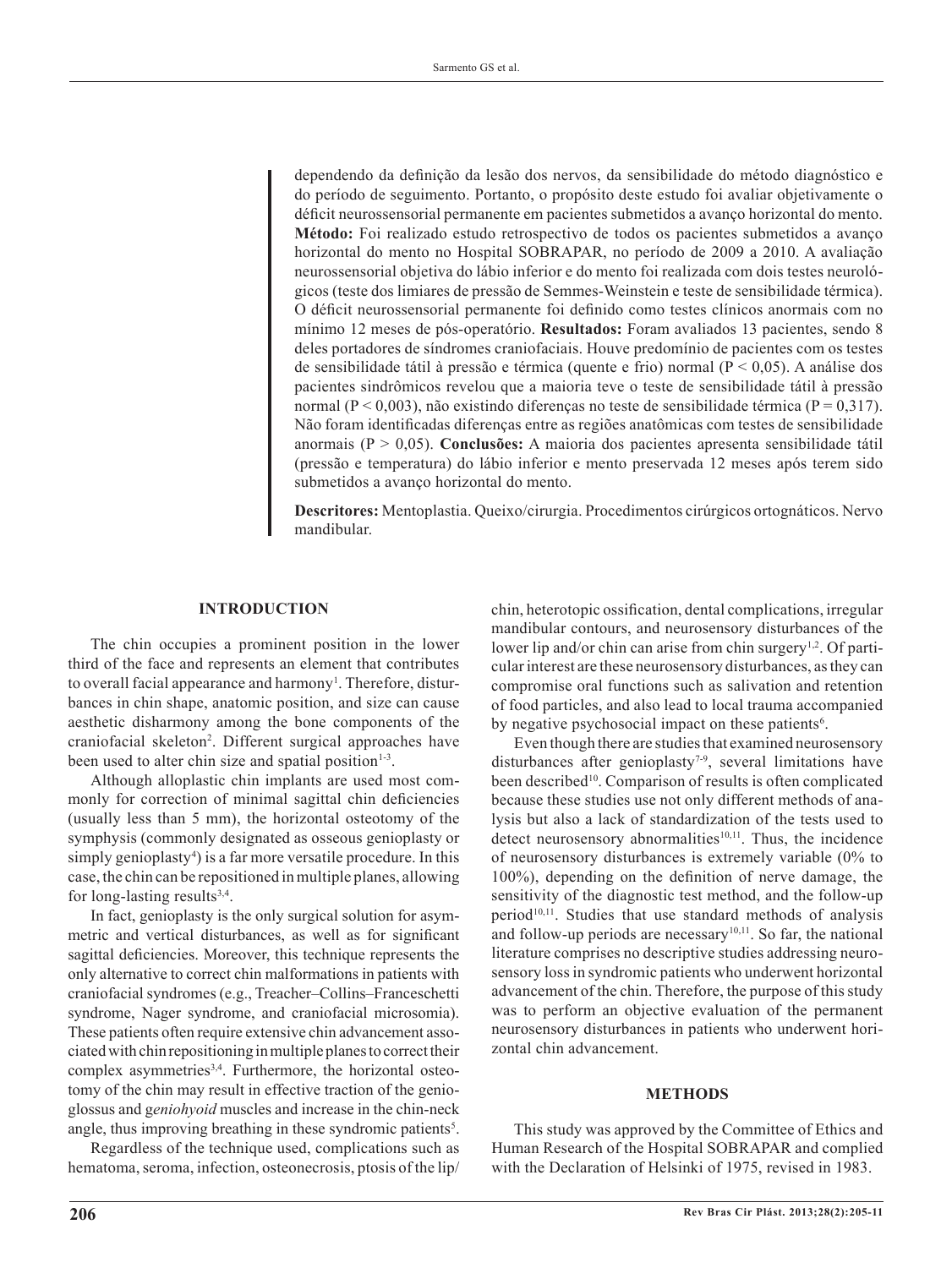dependendo da definição da lesão dos nervos, da sensibilidade do método diagnóstico e do período de seguimento. Portanto, o propósito deste estudo foi avaliar objetivamente o déficit neurossensorial permanente em pacientes submetidos a avanço horizontal do mento. **Método:** Foi realizado estudo retrospectivo de todos os pacientes submetidos a avanço horizontal do mento no Hospital SOBRAPAR, no período de 2009 a 2010. A avaliação neurossensorial objetiva do lábio inferior e do mento foi realizada com dois testes neurológicos (teste dos limiares de pressão de Semmes-Weinstein e teste de sensibilidade térmica). O déficit neurossensorial permanente foi definido como testes clínicos anormais com no mínimo 12 meses de pós-operatório. **Resultados:** Foram avaliados 13 pacientes, sendo 8 deles portadores de síndromes craniofaciais. Houve predomínio de pacientes com os testes de sensibilidade tátil à pressão e térmica (quente e frio) normal ( $P < 0.05$ ). A análise dos pacientes sindrômicos revelou que a maioria teve o teste de sensibilidade tátil à pressão normal (P < 0,003), não existindo diferenças no teste de sensibilidade térmica (P = 0,317). Não foram identificadas diferenças entre as regiões anatômicas com testes de sensibilidade anormais (P > 0,05). **Conclusões:** A maioria dos pacientes apresenta sensibilidade tátil (pressão e temperatura) do lábio inferior e mento preservada 12 meses após terem sido submetidos a avanço horizontal do mento.

**Descritores:** Mentoplastia. Queixo/cirurgia. Procedimentos cirúrgicos ortognáticos. Nervo mandibular.

#### **INTRODUCTION**

The chin occupies a prominent position in the lower third of the face and represents an element that contributes to overall facial appearance and harmony<sup>1</sup>. Therefore, disturbances in chin shape, anatomic position, and size can cause aesthetic disharmony among the bone components of the craniofacial skeleton2 . Different surgical approaches have been used to alter chin size and spatial position $1-3$ .

Although alloplastic chin implants are used most commonly for correction of minimal sagittal chin deficiencies (usually less than 5 mm), the horizontal osteotomy of the symphysis (commonly designated as osseous genioplasty or simply genioplasty<sup>4</sup>) is a far more versatile procedure. In this case, the chin can be repositioned in multiple planes, allowing for long-lasting results $3,4$ .

In fact, genioplasty is the only surgical solution for asymmetric and vertical disturbances, as well as for significant sagittal deficiencies. Moreover, this technique represents the only alternative to correct chin malformations in patients with craniofacial syndromes (e.g., Treacher–Collins–Franceschetti syndrome, Nager syndrome, and craniofacial microsomia). These patients often require extensive chin advancement associated with chin repositioning in multiple planes to correct their complex asymmetries<sup>3,4</sup>. Furthermore, the horizontal osteotomy of the chin may result in effective traction of the genioglossus and g*eniohyoid* muscles and increase in the chin-neck angle, thus improving breathing in these syndromic patients<sup>5</sup>.

Regardless of the technique used, complications such as hematoma, seroma, infection, osteonecrosis, ptosis of the lip/ chin, heterotopic ossification, dental complications, irregular mandibular contours, and neurosensory disturbances of the lower lip and/or chin can arise from chin surgery<sup>1,2</sup>. Of particular interest are these neurosensory disturbances, as they can compromise oral functions such as salivation and retention of food particles, and also lead to local trauma accompanied by negative psychosocial impact on these patients<sup>6</sup>.

Even though there are studies that examined neurosensory disturbances after genioplasty<sup>7-9</sup>, several limitations have been described<sup>10</sup>. Comparison of results is often complicated because these studies use not only different methods of ana lysis but also a lack of standardization of the tests used to detect neurosensory abnormalities $10,11$ . Thus, the incidence of neurosensory disturbances is extremely variable (0% to 100%), depending on the definition of nerve damage, the sensitivity of the diagnostic test method, and the follow-up period<sup>10,11</sup>. Studies that use standard methods of analysis and follow-up periods are necessary<sup>10,11</sup>. So far, the national literature comprises no descriptive studies addressing neurosensory loss in syndromic patients who underwent horizontal advancement of the chin. Therefore, the purpose of this study was to perform an objective evaluation of the permanent neurosensory disturbances in patients who underwent horizontal chin advancement.

#### **METHODS**

This study was approved by the Committee of Ethics and Human Research of the Hospital SOBRAPAR and complied with the Declaration of Helsinki of 1975, revised in 1983.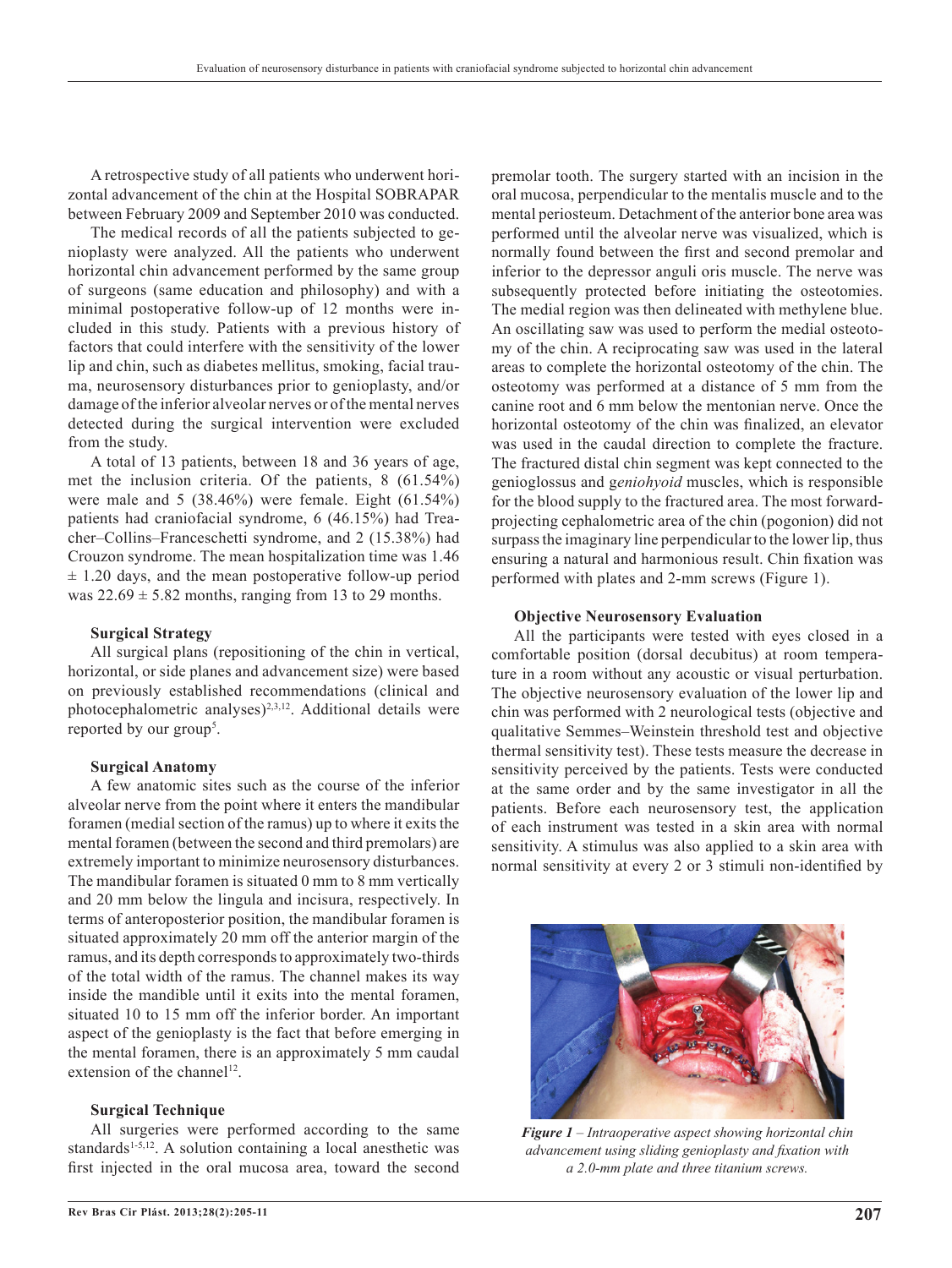A retrospective study of all patients who underwent horizontal advancement of the chin at the Hospital SOBRAPAR between February 2009 and September 2010 was conducted.

The medical records of all the patients subjected to genioplasty were analyzed. All the patients who underwent horizontal chin advancement performed by the same group of surgeons (same education and philosophy) and with a minimal postoperative follow-up of 12 months were included in this study. Patients with a previous history of factors that could interfere with the sensitivity of the lower lip and chin, such as diabetes mellitus, smoking, facial trau ma, neurosensory disturbances prior to genioplasty, and/or damage of the inferior alveolar nerves or of the mental nerves detected during the surgical intervention were excluded from the study.

A total of 13 patients, between 18 and 36 years of age, met the inclusion criteria. Of the patients, 8 (61.54%) were male and 5 (38.46%) were female. Eight (61.54%) patients had craniofacial syndrome, 6 (46.15%) had Treacher–Collins–Franceschetti syndrome, and 2 (15.38%) had Crouzon syndrome. The mean hospitalization time was 1.46  $\pm$  1.20 days, and the mean postoperative follow-up period was  $22.69 \pm 5.82$  months, ranging from 13 to 29 months.

#### **Surgical Strategy**

All surgical plans (repositioning of the chin in vertical, horizontal, or side planes and advancement size) were based on previously established recommendations (clinical and photocephalometric analyses)<sup>2,3,12</sup>. Additional details were reported by our group<sup>5</sup>.

#### **Surgical Anatomy**

A few anatomic sites such as the course of the inferior alveolar nerve from the point where it enters the mandibular foramen (medial section of the ramus) up to where it exits the mental foramen (between the second and third premolars) are extremely important to minimize neurosensory disturbances. The mandibular foramen is situated 0 mm to 8 mm vertically and 20 mm below the lingula and incisura, respectively. In terms of anteroposterior position, the mandibular foramen is situated approximately 20 mm off the anterior margin of the ramus, and its depth corresponds to approximately two-thirds of the total width of the ramus. The channel makes its way inside the mandible until it exits into the mental foramen, situated 10 to 15 mm off the inferior border. An important aspect of the genioplasty is the fact that before emerging in the mental foramen, there is an approximately 5 mm caudal extension of the channel<sup>12</sup>.

#### **Surgical Technique**

All surgeries were performed according to the same standards<sup>1-5,12</sup>. A solution containing a local anesthetic was first injected in the oral mucosa area, toward the second

**Rev Bras Cir Plást. 2013;28(2):205-11 207**

premolar tooth. The surgery started with an incision in the oral mucosa, perpendicular to the mentalis muscle and to the mental periosteum. Detachment of the anterior bone area was performed until the alveolar nerve was visualized, which is normally found between the first and second premolar and inferior to the depressor anguli oris muscle. The nerve was subsequently protected before initiating the osteotomies. The medial region was then delineated with methylene blue. An oscillating saw was used to perform the medial osteotomy of the chin. A reciprocating saw was used in the lateral areas to complete the horizontal osteotomy of the chin. The osteotomy was performed at a distance of 5 mm from the canine root and 6 mm below the mentonian nerve. Once the horizontal osteotomy of the chin was finalized, an elevator was used in the caudal direction to complete the fracture. The fractured distal chin segment was kept connected to the genioglossus and g*eniohyoid* muscles, which is responsible for the blood supply to the fractured area. The most forwardprojecting cephalometric area of the chin (pogonion) did not surpass the imaginary line perpendicular to the lower lip, thus ensuring a natural and harmonious result. Chin fixation was performed with plates and 2-mm screws (Figure 1).

#### **Objective Neurosensory Evaluation**

All the participants were tested with eyes closed in a comfortable position (dorsal decubitus) at room temperature in a room without any acoustic or visual perturbation. The objective neurosensory evaluation of the lower lip and chin was performed with 2 neurological tests (objective and qualitative Semmes–Weinstein threshold test and objective thermal sensitivity test). These tests measure the decrease in sensitivity perceived by the patients. Tests were conducted at the same order and by the same investigator in all the patients. Before each neurosensory test, the application of each instrument was tested in a skin area with normal sensitivity. A stimulus was also applied to a skin area with normal sensitivity at every 2 or 3 stimuli non-identified by



*Figure 1 – Intraoperative aspect showing horizontal chin advancement using sliding genioplasty and fixation with a 2.0-mm plate and three titanium screws.*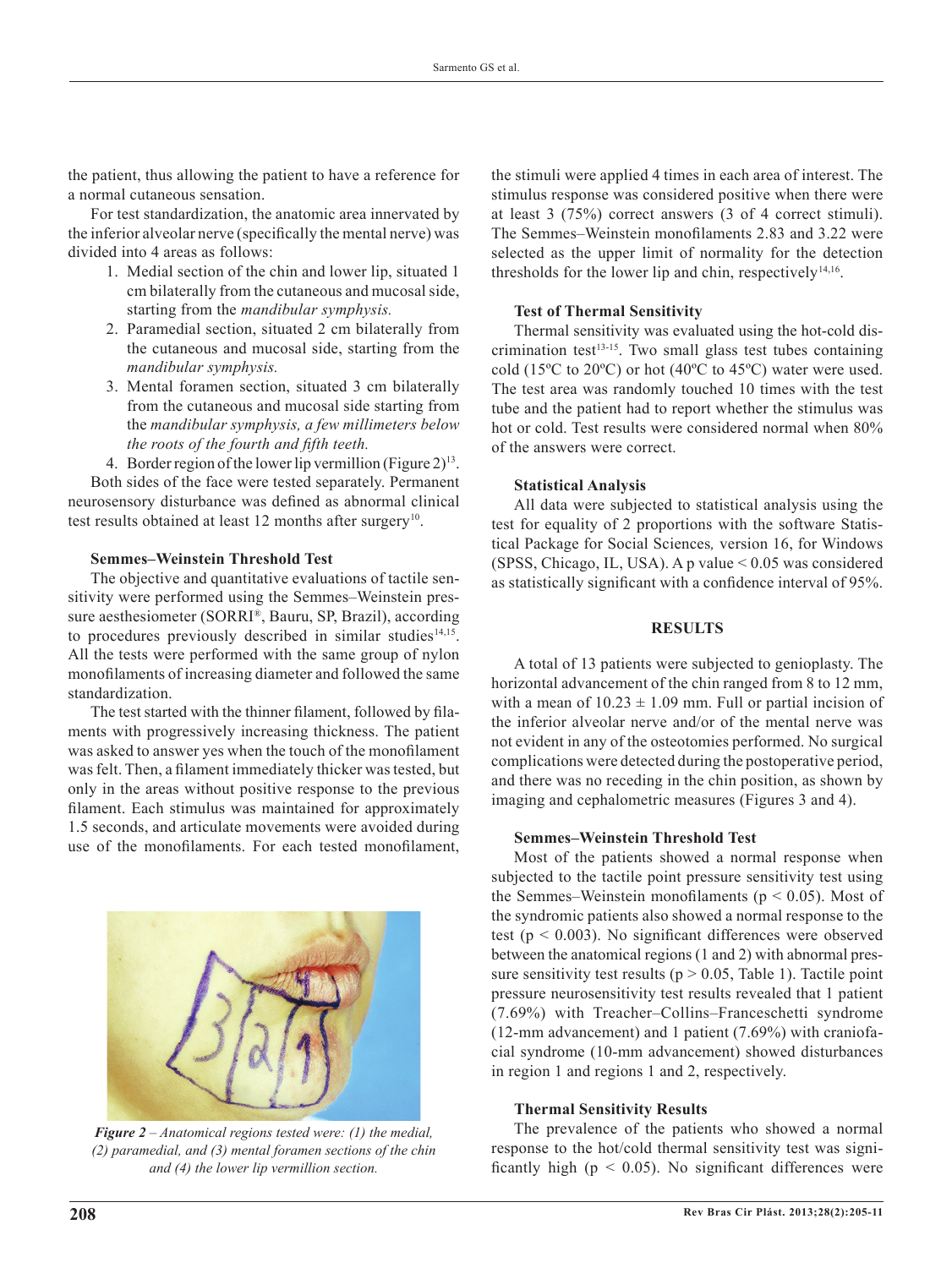the patient, thus allowing the patient to have a reference for a normal cutaneous sensation.

For test standardization, the anatomic area innervated by the inferior alveolar nerve (specifically the mental nerve) was divided into 4 areas as follows:

- 1. Medial section of the chin and lower lip, situated 1 cm bilaterally from the cutaneous and mucosal side, starting from the *mandibular symphysis.*
- 2. Paramedial section, situated 2 cm bilaterally from the cutaneous and mucosal side, starting from the *mandibular symphysis.*
- 3. Mental foramen section, situated 3 cm bilaterally from the cutaneous and mucosal side starting from the *mandibular symphysis, a few millimeters below the roots of the fourth and fifth teeth.*
- 4. Border region of the lower lip vermillion (Figure  $2^{13}$ .

Both sides of the face were tested separately. Permanent neurosensory disturbance was defined as abnormal clinical test results obtained at least 12 months after surgery<sup>10</sup>.

## **Semmes–Weinstein Threshold Test**

The objective and quantitative evaluations of tactile sensitivity were performed using the Semmes–Weinstein pressure aesthesiometer (SORRI®, Bauru, SP, Brazil), according to procedures previously described in similar studies $14,15$ . All the tests were performed with the same group of nylon monofilaments of increasing diameter and followed the same standardization.

The test started with the thinner filament, followed by filaments with progressively increasing thickness. The patient was asked to answer yes when the touch of the monofilament was felt. Then, a filament immediately thicker was tested, but only in the areas without positive response to the previous filament. Each stimulus was maintained for approximately 1.5 seconds, and articulate movements were avoided during use of the monofilaments. For each tested monofilament,



*Figure 2 – Anatomical regions tested were: (1) the medial, (2) paramedial, and (3) mental foramen sections of the chin and (4) the lower lip vermillion section.*

the stimuli were applied 4 times in each area of interest. The stimulus response was considered positive when there were at least 3 (75%) correct answers (3 of 4 correct stimuli). The Semmes–Weinstein monofilaments 2.83 and 3.22 were selected as the upper limit of normality for the detection thresholds for the lower lip and chin, respectively $14,16$ .

#### **Test of Thermal Sensitivity**

Thermal sensitivity was evaluated using the hot-cold dis crimination test $13-15$ . Two small glass test tubes containing cold (15ºC to 20ºC) or hot (40ºC to 45ºC) water were used. The test area was randomly touched 10 times with the test tube and the patient had to report whether the stimulus was hot or cold. Test results were considered normal when 80% of the answers were correct.

#### **Statistical Analysis**

All data were subjected to statistical analysis using the test for equality of 2 proportions with the software Statistical Package for Social Sciences*,* version 16, for Windows (SPSS, Chicago, IL, USA). A p value < 0.05 was considered as statistically significant with a confidence interval of 95%.

### **RESULTS**

A total of 13 patients were subjected to genioplasty. The horizontal advancement of the chin ranged from 8 to 12 mm, with a mean of  $10.23 \pm 1.09$  mm. Full or partial incision of the inferior alveolar nerve and/or of the mental nerve was not evident in any of the osteotomies performed. No surgical complications were detected during the postoperative period, and there was no receding in the chin position, as shown by imaging and cephalometric measures (Figures 3 and 4).

#### **Semmes–Weinstein Threshold Test**

Most of the patients showed a normal response when subjected to the tactile point pressure sensitivity test using the Semmes–Weinstein monofilaments ( $p < 0.05$ ). Most of the syndromic patients also showed a normal response to the test (p < 0.003). No significant differences were observed between the anatomical regions (1 and 2) with abnormal pressure sensitivity test results ( $p > 0.05$ , Table 1). Tactile point pressure neurosensitivity test results revealed that 1 patient (7.69%) with Treacher–Collins–Franceschetti syndrome (12-mm advancement) and 1 patient (7.69%) with craniofacial syndrome (10-mm advancement) showed disturbances in region 1 and regions 1 and 2, respectively.

#### **Thermal Sensitivity Results**

The prevalence of the patients who showed a normal response to the hot/cold thermal sensitivity test was significantly high ( $p < 0.05$ ). No significant differences were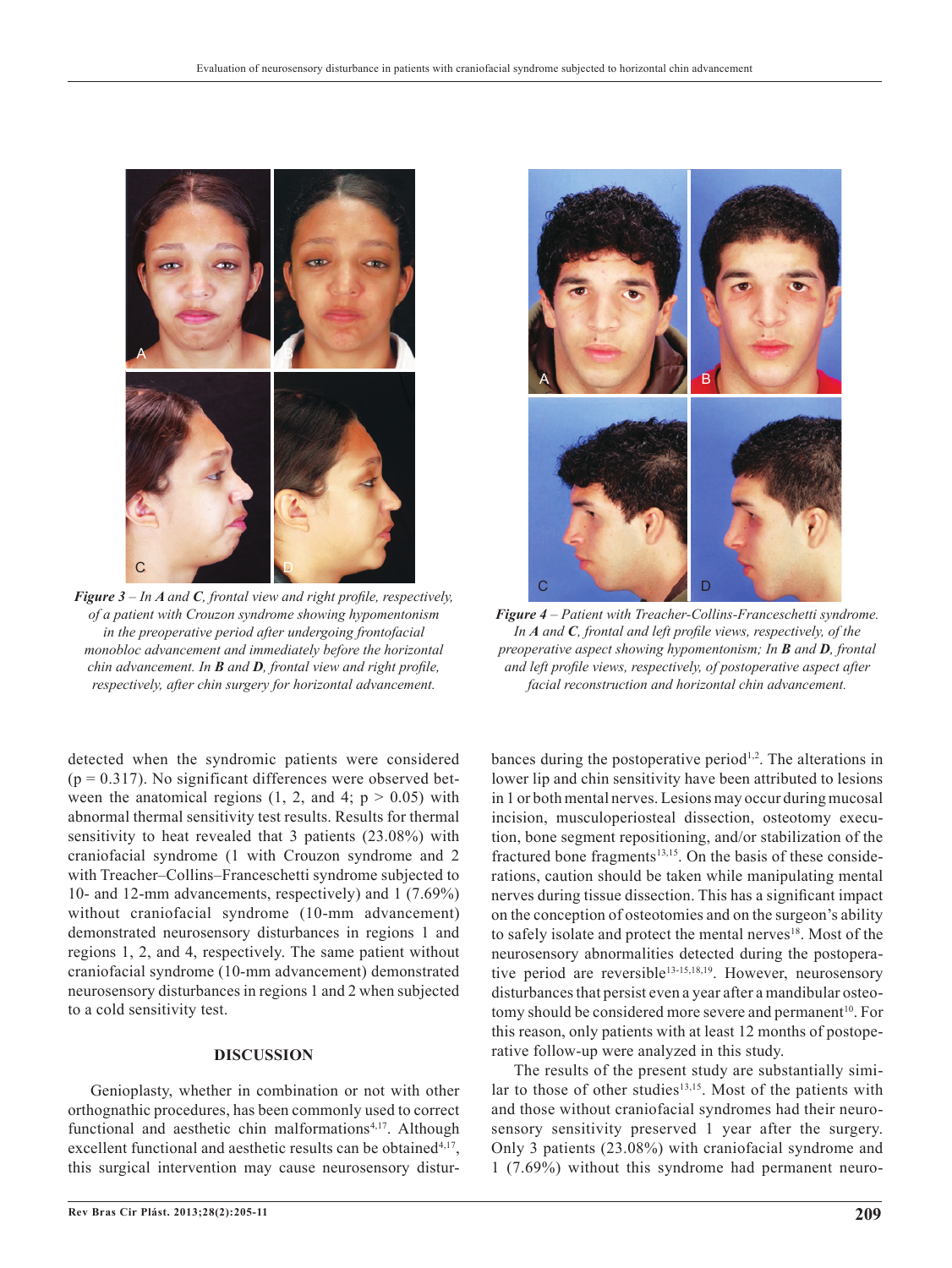

*Figure 3 – In A and C, frontal view and right profile, respectively, of a patient with Crouzon syndrome showing hypomentonism in the preoperative period after undergoing frontofacial monobloc advancement and immediately before the horizontal chin advancement. In B and D, frontal view and right profile, respectively, after chin surgery for horizontal advancement.*

detected when the syndromic patients were considered  $(p = 0.317)$ . No significant differences were observed between the anatomical regions  $(1, 2, \text{ and } 4; \text{ p} > 0.05)$  with abnormal thermal sensitivity test results. Results for thermal sensitivity to heat revealed that 3 patients (23.08%) with craniofacial syndrome (1 with Crouzon syndrome and 2 with Treacher–Collins–Franceschetti syndrome subjected to 10- and 12-mm advancements, respectively) and 1 (7.69%) without craniofacial syndrome (10-mm advancement) demonstrated neurosensory disturbances in regions 1 and regions 1, 2, and 4, respectively. The same patient without craniofacial syndrome (10-mm advancement) demonstrated neurosensory disturbances in regions 1 and 2 when subjected to a cold sensitivity test.

#### **DISCUSSION**

Genioplasty, whether in combination or not with other orthognathic procedures, has been commonly used to correct functional and aesthetic chin malformations<sup>4,17</sup>. Although excellent functional and aesthetic results can be obtained<sup>4,17</sup>, this surgical intervention may cause neurosensory distur-



*Figure 4 – Patient with Treacher-Collins-Franceschetti syndrome. In A and C, frontal and left profile views, respectively, of the preoperative aspect showing hypomentonism; In B and D, frontal and left profile views, respectively, of postoperative aspect after facial reconstruction and horizontal chin advancement.*

bances during the postoperative period<sup> $1,2$ </sup>. The alterations in lower lip and chin sensitivity have been attributed to lesions in 1 or both mental nerves. Lesions may occur during mucosal incision, musculoperiosteal dissection, osteotomy execution, bone segment repositioning, and/or stabilization of the fractured bone fragments $13,15$ . On the basis of these considerations, caution should be taken while manipulating mental nerves during tissue dissection. This has a significant impact on the conception of osteotomies and on the surgeon's ability to safely isolate and protect the mental nerves<sup>18</sup>. Most of the neurosensory abnormalities detected during the postoperative period are reversible<sup>13-15,18,19</sup>. However, neurosensory disturbances that persist even a year after a mandibular osteotomy should be considered more severe and permanent<sup>10</sup>. For this reason, only patients with at least 12 months of postoperative follow-up were analyzed in this study.

The results of the present study are substantially similar to those of other studies<sup>13,15</sup>. Most of the patients with and those without craniofacial syndromes had their neurosensory sensitivity preserved 1 year after the surgery. Only 3 patients (23.08%) with craniofacial syndrome and 1 (7.69%) without this syndrome had permanent neuro-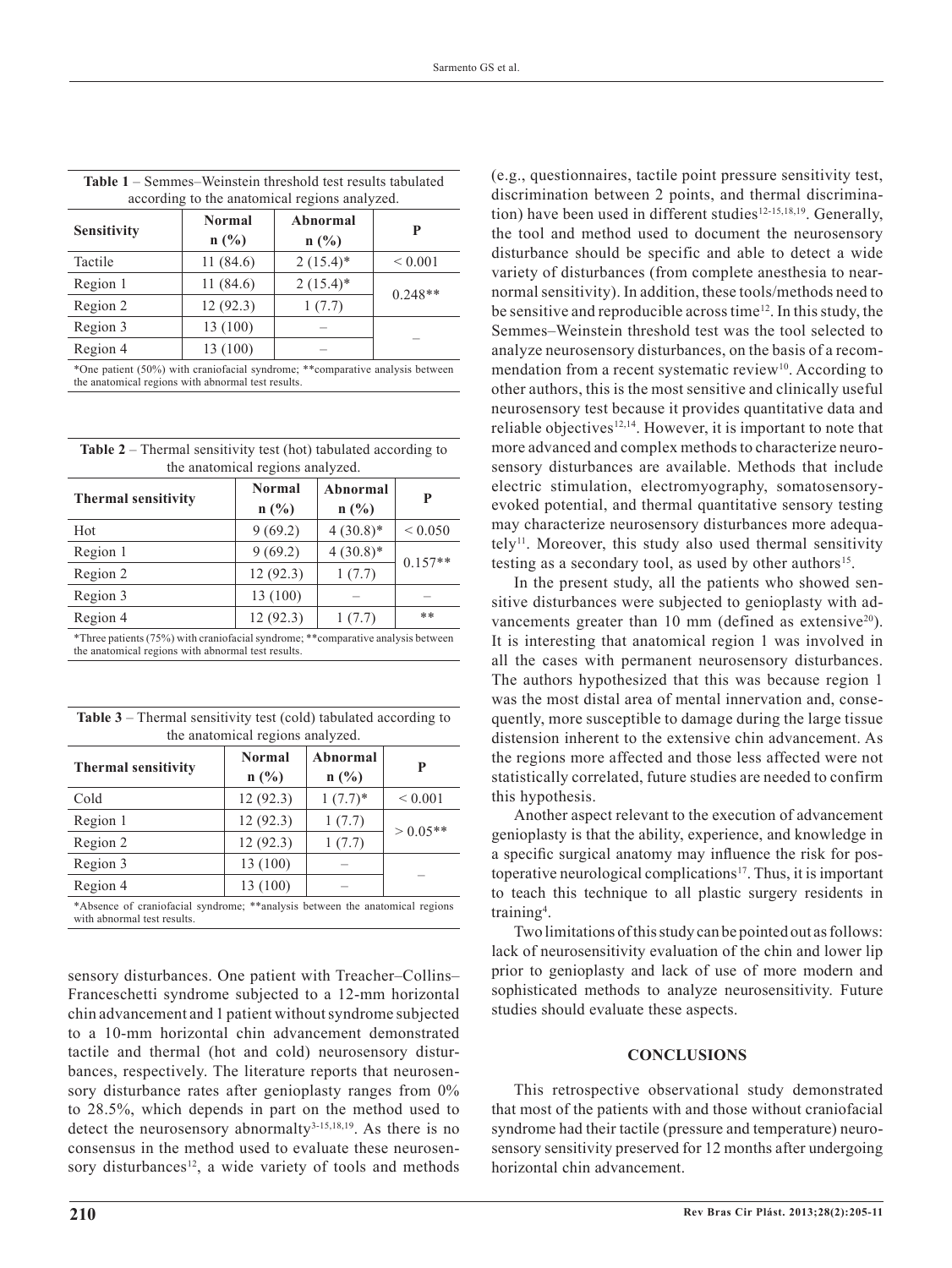| <b>Table 1</b> – Semmes–Weinstein threshold test results tabulated                                                                  |               |             |             |  |
|-------------------------------------------------------------------------------------------------------------------------------------|---------------|-------------|-------------|--|
| according to the anatomical regions analyzed.                                                                                       |               |             |             |  |
| <b>Sensitivity</b>                                                                                                                  | <b>Normal</b> | Abnormal    | P           |  |
|                                                                                                                                     | n(%)          | n(%)        |             |  |
| Tactile                                                                                                                             | 11(84.6)      | $2(15.4)^*$ | ${}< 0.001$ |  |
| Region 1                                                                                                                            | 11(84.6)      | $2(15.4)$ * | $0.248**$   |  |
| Region 2                                                                                                                            | 12(92.3)      | 1(7.7)      |             |  |
| Region 3                                                                                                                            | 13 (100)      |             |             |  |
| Region 4                                                                                                                            | 13 (100)      |             |             |  |
| *One patient (50%) with craniofacial syndrome; **comparative analysis between<br>the anatomical regions with abnormal test results. |               |             |             |  |

| <b>Table 2</b> – Thermal sensitivity test (hot) tabulated according to |
|------------------------------------------------------------------------|
| the anatomical regions analyzed.                                       |

| <b>Thermal sensitivity</b>                                                                                                             | <b>Normal</b><br>$n(^{0}/_{0})$ | Abnormal<br>$n(^{0}/_{0})$ | P            |  |
|----------------------------------------------------------------------------------------------------------------------------------------|---------------------------------|----------------------------|--------------|--|
| Hot                                                                                                                                    | 9(69.2)                         | $4(30.8)*$                 | ${}_{0.050}$ |  |
| Region 1                                                                                                                               | 9(69.2)                         | $4(30.8)*$                 | $0.157**$    |  |
| Region 2                                                                                                                               | 12(92.3)                        | 1(7.7)                     |              |  |
| Region 3                                                                                                                               | 13 (100)                        |                            |              |  |
| Region 4                                                                                                                               | 12(92.3)                        | 1(7.7)                     | $**$         |  |
| *Three patients (75%) with craniofacial syndrome; **comparative analysis between<br>the anatomical regions with abnormal test results. |                                 |                            |              |  |

|  |                                  |  | <b>Table 3</b> – Thermal sensitivity test (cold) tabulated according to |
|--|----------------------------------|--|-------------------------------------------------------------------------|
|  | the anatomical regions analyzed. |  |                                                                         |

| <b>Thermal sensitivity</b> | <b>Normal</b><br>$n(^{0}/_{0})$ | Abnormal<br>$n(^{0}/_{0})$ | P           |
|----------------------------|---------------------------------|----------------------------|-------------|
|                            |                                 |                            |             |
| Cold                       | 12(92.3)                        | $1(7.7)^*$                 | ${}< 0.001$ |
| Region 1                   | 12(92.3)                        | 1(7.7)                     | $> 0.05**$  |
| Region 2                   | 12(92.3)                        | 1(7.7)                     |             |
| Region 3                   | 13(100)                         |                            |             |
| Region 4                   | 13 (100)                        |                            |             |
|                            |                                 |                            |             |

\*Absence of craniofacial syndrome; \*\*analysis between the anatomical regions with abnormal test results.

sensory disturbances. One patient with Treacher–Collins– Franceschetti syndrome subjected to a 12-mm horizontal chin advancement and 1 patient without syndrome subjected to a 10-mm horizontal chin advancement demonstrated tactile and thermal (hot and cold) neurosensory disturbances, respectively. The literature reports that neurosensory disturbance rates after genioplasty ranges from 0% to 28.5%, which depends in part on the method used to detect the neurosensory abnormalty<sup>3-15,18,19</sup>. As there is no consensus in the method used to evaluate these neurosensory disturbances<sup>12</sup>, a wide variety of tools and methods (e.g., questionnaires, tactile point pressure sensitivity test, discrimination between 2 points, and thermal discrimination) have been used in different studies<sup>12-15,18,19</sup>. Generally, the tool and method used to document the neurosensory disturbance should be specific and able to detect a wide variety of disturbances (from complete anesthesia to nearnormal sensitivity). In addition, these tools/methods need to be sensitive and reproducible across time<sup>12</sup>. In this study, the Semmes–Weinstein threshold test was the tool selected to analyze neurosensory disturbances, on the basis of a recommendation from a recent systematic review<sup>10</sup>. According to other authors, this is the most sensitive and clinically useful neurosensory test because it provides quantitative data and reliable objectives $12,14$ . However, it is important to note that more advanced and complex methods to characterize neurosensory disturbances are available. Methods that include electric stimulation, electromyography, somatosensoryevoked potential, and thermal quantitative sensory testing may characterize neurosensory disturbances more adequa $tely$ <sup>11</sup>. Moreover, this study also used thermal sensitivity testing as a secondary tool, as used by other authors<sup>15</sup>.

In the present study, all the patients who showed sensitive disturbances were subjected to genioplasty with advancements greater than 10 mm (defined as extensive<sup>20</sup>). It is interesting that anatomical region 1 was involved in all the cases with permanent neurosensory disturbances. The authors hypothesized that this was because region 1 was the most distal area of mental innervation and, consequently, more susceptible to damage during the large tissue distension inherent to the extensive chin advancement. As the regions more affected and those less affected were not statistically correlated, future studies are needed to confirm this hypothesis.

Another aspect relevant to the execution of advancement genioplasty is that the ability, experience, and knowledge in a specific surgical anatomy may influence the risk for postoperative neurological complications<sup>17</sup>. Thus, it is important to teach this technique to all plastic surgery residents in training<sup>4</sup>.

Two limitations of this study can be pointed out as follows: lack of neurosensitivity evaluation of the chin and lower lip prior to genioplasty and lack of use of more modern and sophisticated methods to analyze neurosensitivity. Future studies should evaluate these aspects.

### **CONCLUSIONS**

This retrospective observational study demonstrated that most of the patients with and those without craniofacial syndrome had their tactile (pressure and temperature) neurosensory sensitivity preserved for 12 months after undergoing horizontal chin advancement.